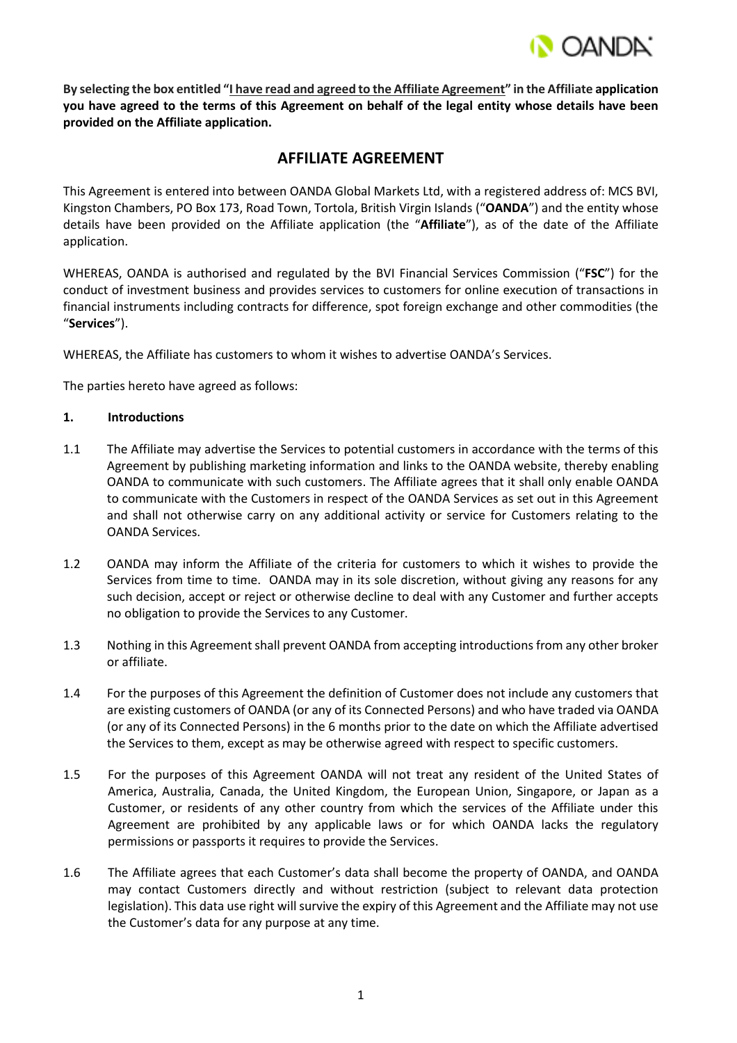

**By selecting the box entitled "I have read and agreed to the Affiliate Agreement" in the Affiliate application you have agreed to the terms of this Agreement on behalf of the legal entity whose details have been provided on the Affiliate application.**

# **AFFILIATE AGREEMENT**

This Agreement is entered into between OANDA Global Markets Ltd, with a registered address of: MCS BVI, Kingston Chambers, PO Box 173, Road Town, Tortola, British Virgin Islands ("**OANDA**") and the entity whose details have been provided on the Affiliate application (the "**Affiliate**"), as of the date of the Affiliate application.

WHEREAS, OANDA is authorised and regulated by the BVI Financial Services Commission ("**FSC**") for the conduct of investment business and provides services to customers for online execution of transactions in financial instruments including contracts for difference, spot foreign exchange and other commodities (the "**Services**").

WHEREAS, the Affiliate has customers to whom it wishes to advertise OANDA's Services.

The parties hereto have agreed as follows:

### **1. Introductions**

- 1.1 The Affiliate may advertise the Services to potential customers in accordance with the terms of this Agreement by publishing marketing information and links to the OANDA website, thereby enabling OANDA to communicate with such customers. The Affiliate agrees that it shall only enable OANDA to communicate with the Customers in respect of the OANDA Services as set out in this Agreement and shall not otherwise carry on any additional activity or service for Customers relating to the OANDA Services.
- 1.2 OANDA may inform the Affiliate of the criteria for customers to which it wishes to provide the Services from time to time. OANDA may in its sole discretion, without giving any reasons for any such decision, accept or reject or otherwise decline to deal with any Customer and further accepts no obligation to provide the Services to any Customer.
- 1.3 Nothing in this Agreement shall prevent OANDA from accepting introductions from any other broker or affiliate.
- 1.4 For the purposes of this Agreement the definition of Customer does not include any customers that are existing customers of OANDA (or any of its Connected Persons) and who have traded via OANDA (or any of its Connected Persons) in the 6 months prior to the date on which the Affiliate advertised the Services to them, except as may be otherwise agreed with respect to specific customers.
- 1.5 For the purposes of this Agreement OANDA will not treat any resident of the United States of America, Australia, Canada, the United Kingdom, the European Union, Singapore, or Japan as a Customer, or residents of any other country from which the services of the Affiliate under this Agreement are prohibited by any applicable laws or for which OANDA lacks the regulatory permissions or passports it requires to provide the Services.
- 1.6 The Affiliate agrees that each Customer's data shall become the property of OANDA, and OANDA may contact Customers directly and without restriction (subject to relevant data protection legislation). This data use right will survive the expiry of this Agreement and the Affiliate may not use the Customer's data for any purpose at any time.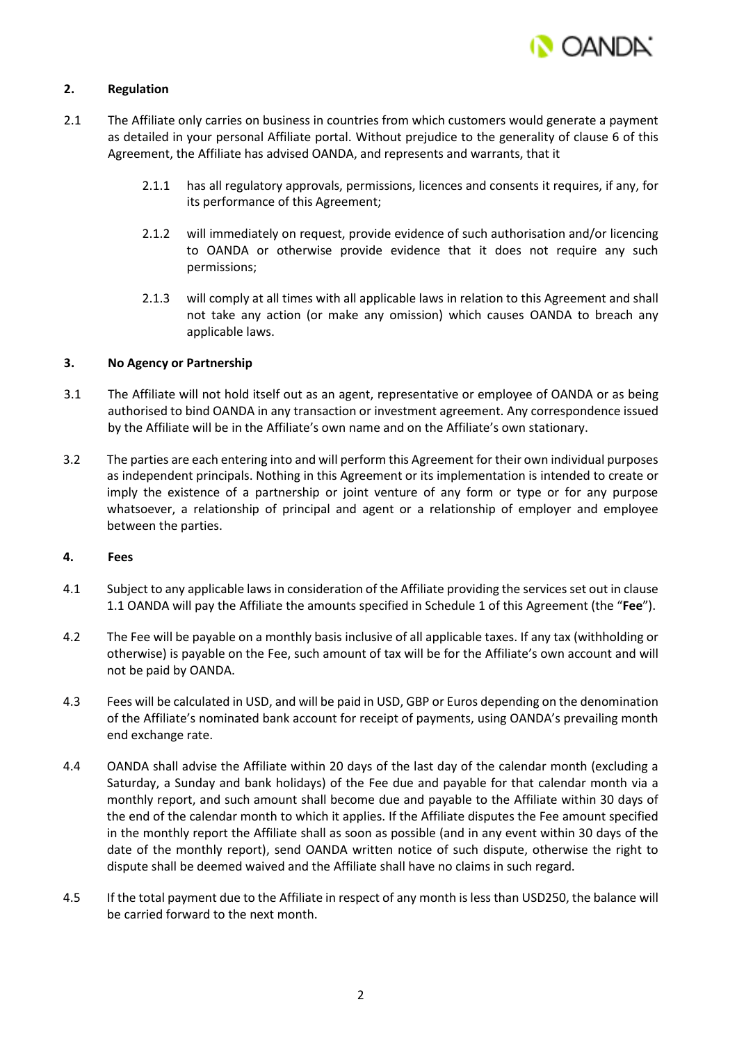

# **2. Regulation**

- 2.1 The Affiliate only carries on business in countries from which customers would generate a payment as detailed in your personal Affiliate portal. Without prejudice to the generality of clause 6 of this Agreement, the Affiliate has advised OANDA, and represents and warrants, that it
	- 2.1.1 has all regulatory approvals, permissions, licences and consents it requires, if any, for its performance of this Agreement;
	- 2.1.2 will immediately on request, provide evidence of such authorisation and/or licencing to OANDA or otherwise provide evidence that it does not require any such permissions;
	- 2.1.3 will comply at all times with all applicable laws in relation to this Agreement and shall not take any action (or make any omission) which causes OANDA to breach any applicable laws.

## **3. No Agency or Partnership**

- 3.1 The Affiliate will not hold itself out as an agent, representative or employee of OANDA or as being authorised to bind OANDA in any transaction or investment agreement. Any correspondence issued by the Affiliate will be in the Affiliate's own name and on the Affiliate's own stationary.
- 3.2 The parties are each entering into and will perform this Agreement for their own individual purposes as independent principals. Nothing in this Agreement or its implementation is intended to create or imply the existence of a partnership or joint venture of any form or type or for any purpose whatsoever, a relationship of principal and agent or a relationship of employer and employee between the parties.

## **4. Fees**

- 4.1 Subject to any applicable laws in consideration of the Affiliate providing the services set out in clause 1.1 OANDA will pay the Affiliate the amounts specified in Schedule 1 of this Agreement (the "**Fee**").
- 4.2 The Fee will be payable on a monthly basis inclusive of all applicable taxes. If any tax (withholding or otherwise) is payable on the Fee, such amount of tax will be for the Affiliate's own account and will not be paid by OANDA.
- 4.3 Fees will be calculated in USD, and will be paid in USD, GBP or Euros depending on the denomination of the Affiliate's nominated bank account for receipt of payments, using OANDA's prevailing month end exchange rate.
- 4.4 OANDA shall advise the Affiliate within 20 days of the last day of the calendar month (excluding a Saturday, a Sunday and bank holidays) of the Fee due and payable for that calendar month via a monthly report, and such amount shall become due and payable to the Affiliate within 30 days of the end of the calendar month to which it applies. If the Affiliate disputes the Fee amount specified in the monthly report the Affiliate shall as soon as possible (and in any event within 30 days of the date of the monthly report), send OANDA written notice of such dispute, otherwise the right to dispute shall be deemed waived and the Affiliate shall have no claims in such regard.
- 4.5 If the total payment due to the Affiliate in respect of any month is less than USD250, the balance will be carried forward to the next month.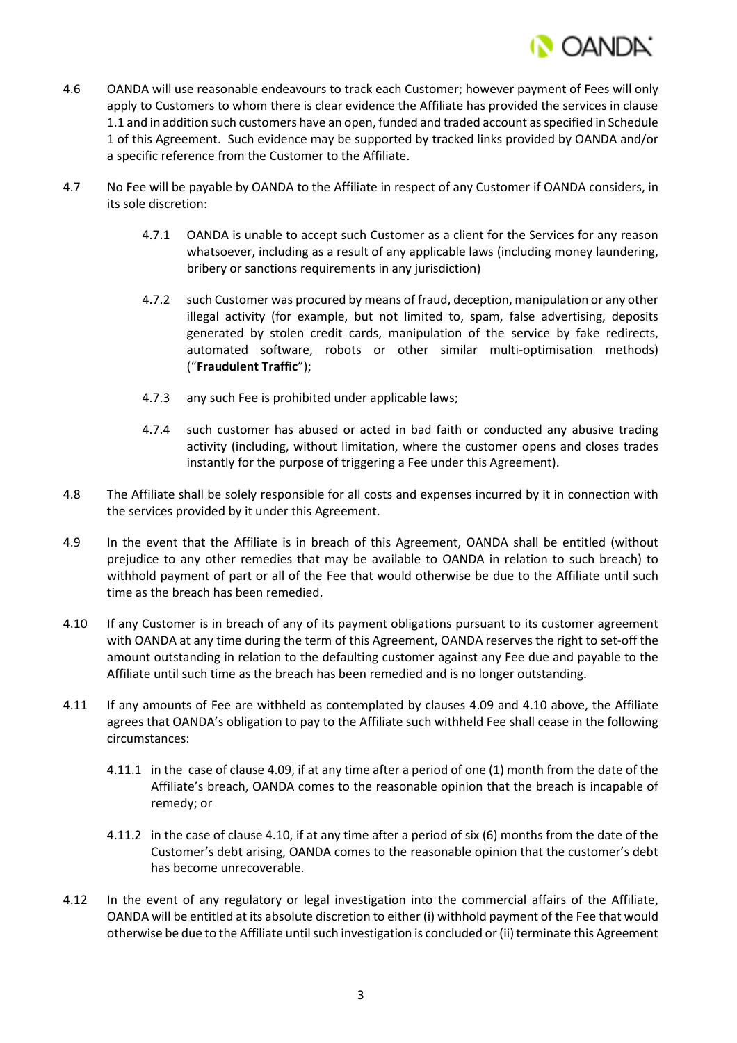

- 4.6 OANDA will use reasonable endeavours to track each Customer; however payment of Fees will only apply to Customers to whom there is clear evidence the Affiliate has provided the services in clause 1.1 and in addition such customers have an open, funded and traded account as specified in Schedule 1 of this Agreement. Such evidence may be supported by tracked links provided by OANDA and/or a specific reference from the Customer to the Affiliate.
- 4.7 No Fee will be payable by OANDA to the Affiliate in respect of any Customer if OANDA considers, in its sole discretion:
	- 4.7.1 OANDA is unable to accept such Customer as a client for the Services for any reason whatsoever, including as a result of any applicable laws (including money laundering, bribery or sanctions requirements in any jurisdiction)
	- 4.7.2 such Customer was procured by means of fraud, deception, manipulation or any other illegal activity (for example, but not limited to, spam, false advertising, deposits generated by stolen credit cards, manipulation of the service by fake redirects, automated software, robots or other similar multi-optimisation methods) ("**Fraudulent Traffic**");
	- 4.7.3 any such Fee is prohibited under applicable laws;
	- 4.7.4 such customer has abused or acted in bad faith or conducted any abusive trading activity (including, without limitation, where the customer opens and closes trades instantly for the purpose of triggering a Fee under this Agreement).
- 4.8 The Affiliate shall be solely responsible for all costs and expenses incurred by it in connection with the services provided by it under this Agreement.
- 4.9 In the event that the Affiliate is in breach of this Agreement, OANDA shall be entitled (without prejudice to any other remedies that may be available to OANDA in relation to such breach) to withhold payment of part or all of the Fee that would otherwise be due to the Affiliate until such time as the breach has been remedied.
- 4.10 If any Customer is in breach of any of its payment obligations pursuant to its customer agreement with OANDA at any time during the term of this Agreement, OANDA reserves the right to set-off the amount outstanding in relation to the defaulting customer against any Fee due and payable to the Affiliate until such time as the breach has been remedied and is no longer outstanding.
- 4.11 If any amounts of Fee are withheld as contemplated by clauses 4.09 and 4.10 above, the Affiliate agrees that OANDA's obligation to pay to the Affiliate such withheld Fee shall cease in the following circumstances:
	- 4.11.1 in the case of clause 4.09, if at any time after a period of one (1) month from the date of the Affiliate's breach, OANDA comes to the reasonable opinion that the breach is incapable of remedy; or
	- 4.11.2 in the case of clause 4.10, if at any time after a period of six (6) months from the date of the Customer's debt arising, OANDA comes to the reasonable opinion that the customer's debt has become unrecoverable.
- 4.12 In the event of any regulatory or legal investigation into the commercial affairs of the Affiliate, OANDA will be entitled at its absolute discretion to either (i) withhold payment of the Fee that would otherwise be due to the Affiliate until such investigation is concluded or (ii) terminate this Agreement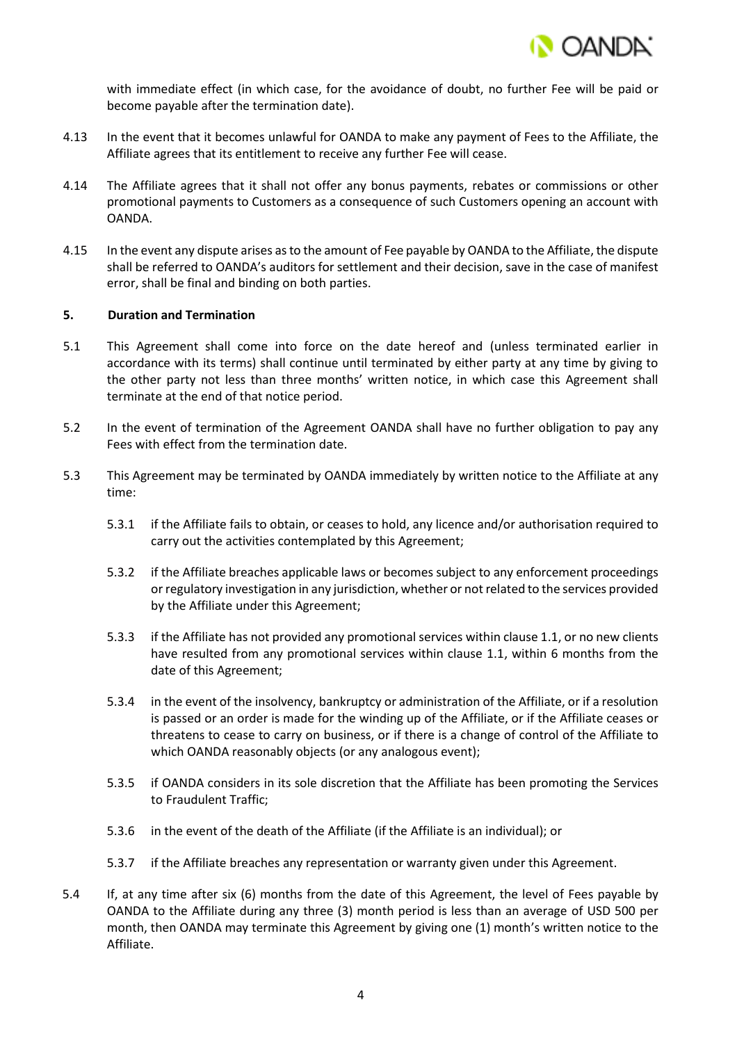with immediate effect (in which case, for the avoidance of doubt, no further Fee will be paid or become payable after the termination date).

- 4.13 In the event that it becomes unlawful for OANDA to make any payment of Fees to the Affiliate, the Affiliate agrees that its entitlement to receive any further Fee will cease.
- 4.14 The Affiliate agrees that it shall not offer any bonus payments, rebates or commissions or other promotional payments to Customers as a consequence of such Customers opening an account with OANDA.
- 4.15 In the event any dispute arises as to the amount of Fee payable by OANDA to the Affiliate, the dispute shall be referred to OANDA's auditors for settlement and their decision, save in the case of manifest error, shall be final and binding on both parties.

## **5. Duration and Termination**

- 5.1 This Agreement shall come into force on the date hereof and (unless terminated earlier in accordance with its terms) shall continue until terminated by either party at any time by giving to the other party not less than three months' written notice, in which case this Agreement shall terminate at the end of that notice period.
- 5.2 In the event of termination of the Agreement OANDA shall have no further obligation to pay any Fees with effect from the termination date.
- 5.3 This Agreement may be terminated by OANDA immediately by written notice to the Affiliate at any time:
	- 5.3.1 if the Affiliate fails to obtain, or ceases to hold, any licence and/or authorisation required to carry out the activities contemplated by this Agreement;
	- 5.3.2 if the Affiliate breaches applicable laws or becomes subject to any enforcement proceedings or regulatory investigation in any jurisdiction, whether or not related to the services provided by the Affiliate under this Agreement;
	- 5.3.3 if the Affiliate has not provided any promotional services within clause 1.1, or no new clients have resulted from any promotional services within clause 1.1, within 6 months from the date of this Agreement;
	- 5.3.4 in the event of the insolvency, bankruptcy or administration of the Affiliate, or if a resolution is passed or an order is made for the winding up of the Affiliate, or if the Affiliate ceases or threatens to cease to carry on business, or if there is a change of control of the Affiliate to which OANDA reasonably objects (or any analogous event);
	- 5.3.5 if OANDA considers in its sole discretion that the Affiliate has been promoting the Services to Fraudulent Traffic;
	- 5.3.6 in the event of the death of the Affiliate (if the Affiliate is an individual); or
	- 5.3.7 if the Affiliate breaches any representation or warranty given under this Agreement.
- 5.4 If, at any time after six (6) months from the date of this Agreement, the level of Fees payable by OANDA to the Affiliate during any three (3) month period is less than an average of USD 500 per month, then OANDA may terminate this Agreement by giving one (1) month's written notice to the Affiliate.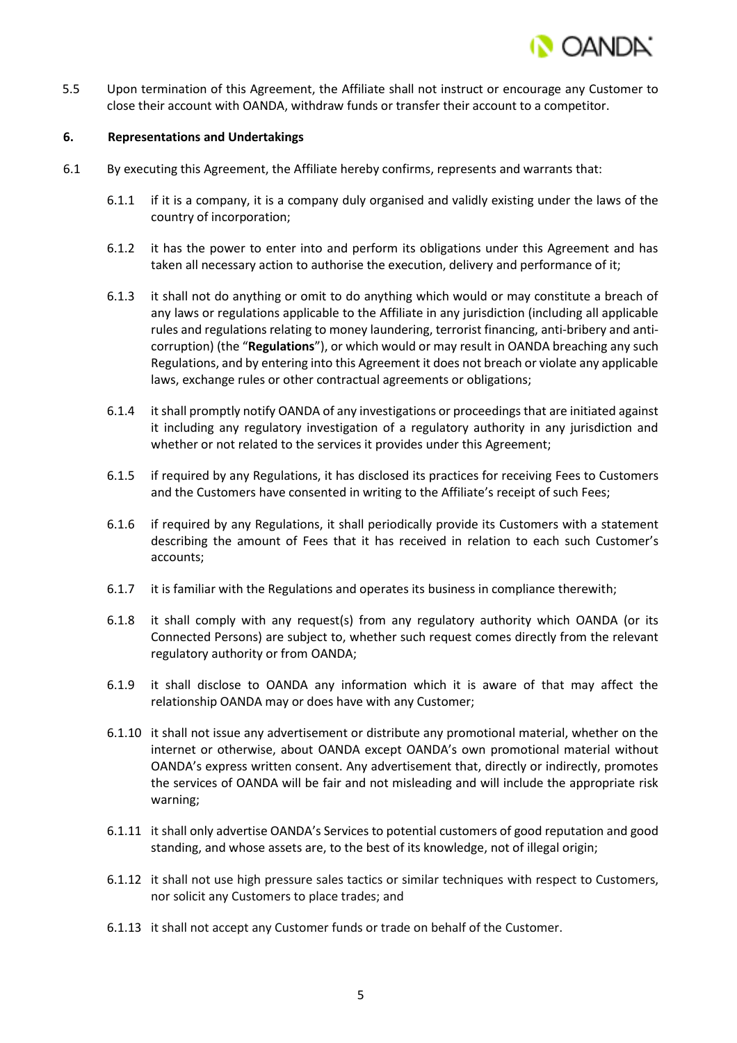

5.5 Upon termination of this Agreement, the Affiliate shall not instruct or encourage any Customer to close their account with OANDA, withdraw funds or transfer their account to a competitor.

### **6. Representations and Undertakings**

- 6.1 By executing this Agreement, the Affiliate hereby confirms, represents and warrants that:
	- 6.1.1 if it is a company, it is a company duly organised and validly existing under the laws of the country of incorporation;
	- 6.1.2 it has the power to enter into and perform its obligations under this Agreement and has taken all necessary action to authorise the execution, delivery and performance of it;
	- 6.1.3 it shall not do anything or omit to do anything which would or may constitute a breach of any laws or regulations applicable to the Affiliate in any jurisdiction (including all applicable rules and regulations relating to money laundering, terrorist financing, anti-bribery and anticorruption) (the "**Regulations**"), or which would or may result in OANDA breaching any such Regulations, and by entering into this Agreement it does not breach or violate any applicable laws, exchange rules or other contractual agreements or obligations;
	- 6.1.4 it shall promptly notify OANDA of any investigations or proceedings that are initiated against it including any regulatory investigation of a regulatory authority in any jurisdiction and whether or not related to the services it provides under this Agreement;
	- 6.1.5 if required by any Regulations, it has disclosed its practices for receiving Fees to Customers and the Customers have consented in writing to the Affiliate's receipt of such Fees;
	- 6.1.6 if required by any Regulations, it shall periodically provide its Customers with a statement describing the amount of Fees that it has received in relation to each such Customer's accounts;
	- 6.1.7 it is familiar with the Regulations and operates its business in compliance therewith;
	- 6.1.8 it shall comply with any request(s) from any regulatory authority which OANDA (or its Connected Persons) are subject to, whether such request comes directly from the relevant regulatory authority or from OANDA;
	- 6.1.9 it shall disclose to OANDA any information which it is aware of that may affect the relationship OANDA may or does have with any Customer;
	- 6.1.10 it shall not issue any advertisement or distribute any promotional material, whether on the internet or otherwise, about OANDA except OANDA's own promotional material without OANDA's express written consent. Any advertisement that, directly or indirectly, promotes the services of OANDA will be fair and not misleading and will include the appropriate risk warning;
	- 6.1.11 it shall only advertise OANDA's Services to potential customers of good reputation and good standing, and whose assets are, to the best of its knowledge, not of illegal origin;
	- 6.1.12 it shall not use high pressure sales tactics or similar techniques with respect to Customers, nor solicit any Customers to place trades; and
	- 6.1.13 it shall not accept any Customer funds or trade on behalf of the Customer.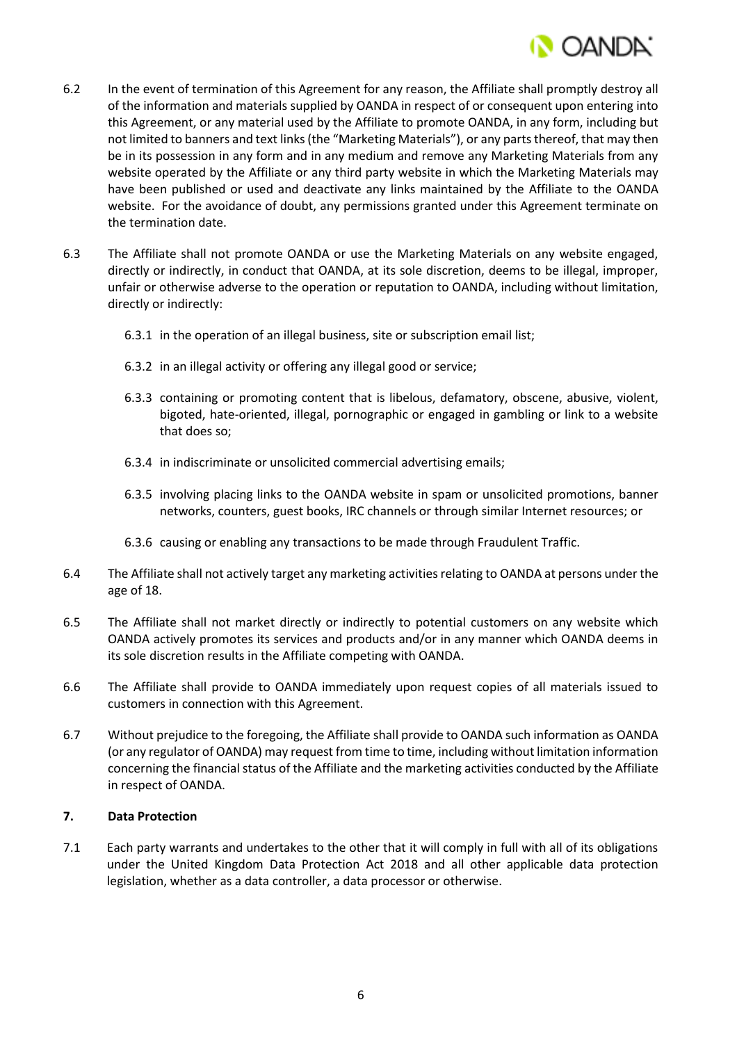

- 6.2 In the event of termination of this Agreement for any reason, the Affiliate shall promptly destroy all of the information and materials supplied by OANDA in respect of or consequent upon entering into this Agreement, or any material used by the Affiliate to promote OANDA, in any form, including but not limited to banners and text links (the "Marketing Materials"), or any parts thereof, that may then be in its possession in any form and in any medium and remove any Marketing Materials from any website operated by the Affiliate or any third party website in which the Marketing Materials may have been published or used and deactivate any links maintained by the Affiliate to the OANDA website. For the avoidance of doubt, any permissions granted under this Agreement terminate on the termination date.
- 6.3 The Affiliate shall not promote OANDA or use the Marketing Materials on any website engaged, directly or indirectly, in conduct that OANDA, at its sole discretion, deems to be illegal, improper, unfair or otherwise adverse to the operation or reputation to OANDA, including without limitation, directly or indirectly:
	- 6.3.1 in the operation of an illegal business, site or subscription email list;
	- 6.3.2 in an illegal activity or offering any illegal good or service;
	- 6.3.3 containing or promoting content that is libelous, defamatory, obscene, abusive, violent, bigoted, hate-oriented, illegal, pornographic or engaged in gambling or link to a website that does so;
	- 6.3.4 in indiscriminate or unsolicited commercial advertising emails;
	- 6.3.5 involving placing links to the OANDA website in spam or unsolicited promotions, banner networks, counters, guest books, IRC channels or through similar Internet resources; or
	- 6.3.6 causing or enabling any transactions to be made through Fraudulent Traffic.
- 6.4 The Affiliate shall not actively target any marketing activities relating to OANDA at persons under the age of 18.
- 6.5 The Affiliate shall not market directly or indirectly to potential customers on any website which OANDA actively promotes its services and products and/or in any manner which OANDA deems in its sole discretion results in the Affiliate competing with OANDA.
- 6.6 The Affiliate shall provide to OANDA immediately upon request copies of all materials issued to customers in connection with this Agreement.
- 6.7 Without prejudice to the foregoing, the Affiliate shall provide to OANDA such information as OANDA (or any regulator of OANDA) may request from time to time, including without limitation information concerning the financial status of the Affiliate and the marketing activities conducted by the Affiliate in respect of OANDA.

### **7. Data Protection**

7.1 Each party warrants and undertakes to the other that it will comply in full with all of its obligations under the United Kingdom Data Protection Act 2018 and all other applicable data protection legislation, whether as a data controller, a data processor or otherwise.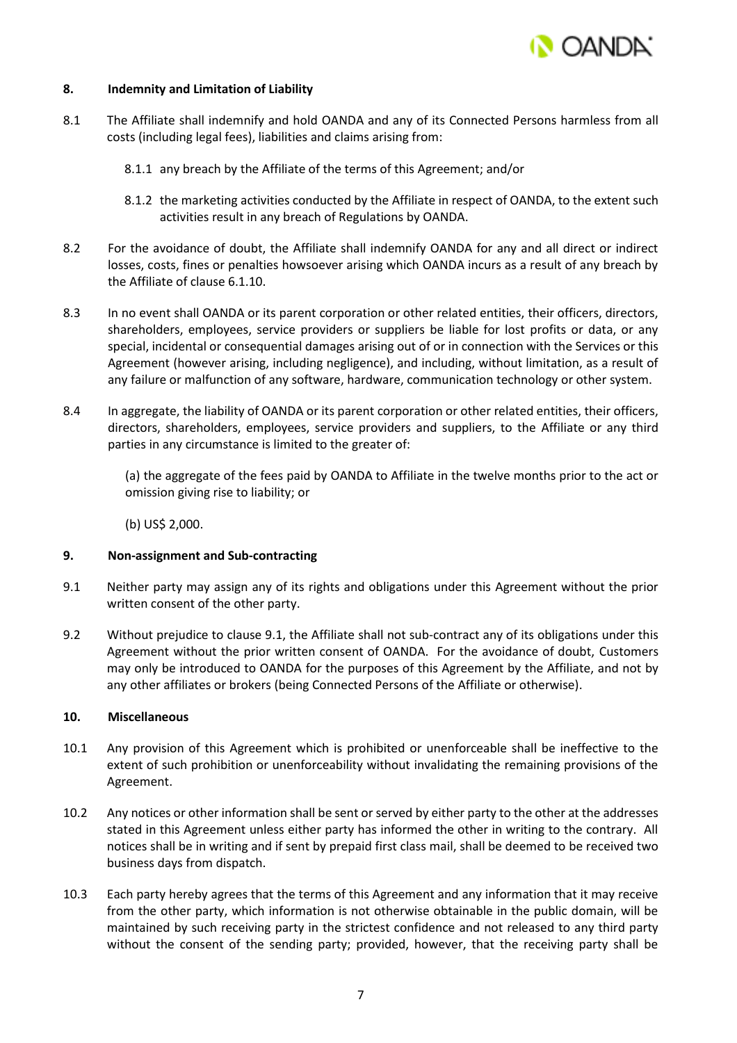

### **8. Indemnity and Limitation of Liability**

- 8.1 The Affiliate shall indemnify and hold OANDA and any of its Connected Persons harmless from all costs (including legal fees), liabilities and claims arising from:
	- 8.1.1 any breach by the Affiliate of the terms of this Agreement; and/or
	- 8.1.2 the marketing activities conducted by the Affiliate in respect of OANDA, to the extent such activities result in any breach of Regulations by OANDA.
- 8.2 For the avoidance of doubt, the Affiliate shall indemnify OANDA for any and all direct or indirect losses, costs, fines or penalties howsoever arising which OANDA incurs as a result of any breach by the Affiliate of clause 6.1.10.
- 8.3 In no event shall OANDA or its parent corporation or other related entities, their officers, directors, shareholders, employees, service providers or suppliers be liable for lost profits or data, or any special, incidental or consequential damages arising out of or in connection with the Services or this Agreement (however arising, including negligence), and including, without limitation, as a result of any failure or malfunction of any software, hardware, communication technology or other system.
- 8.4 In aggregate, the liability of OANDA or its parent corporation or other related entities, their officers, directors, shareholders, employees, service providers and suppliers, to the Affiliate or any third parties in any circumstance is limited to the greater of:

(a) the aggregate of the fees paid by OANDA to Affiliate in the twelve months prior to the act or omission giving rise to liability; or

(b) US\$ 2,000.

#### **9. Non-assignment and Sub-contracting**

- 9.1 Neither party may assign any of its rights and obligations under this Agreement without the prior written consent of the other party.
- 9.2 Without prejudice to clause 9.1, the Affiliate shall not sub-contract any of its obligations under this Agreement without the prior written consent of OANDA. For the avoidance of doubt, Customers may only be introduced to OANDA for the purposes of this Agreement by the Affiliate, and not by any other affiliates or brokers (being Connected Persons of the Affiliate or otherwise).

#### **10. Miscellaneous**

- 10.1 Any provision of this Agreement which is prohibited or unenforceable shall be ineffective to the extent of such prohibition or unenforceability without invalidating the remaining provisions of the Agreement.
- 10.2 Any notices or other information shall be sent or served by either party to the other at the addresses stated in this Agreement unless either party has informed the other in writing to the contrary. All notices shall be in writing and if sent by prepaid first class mail, shall be deemed to be received two business days from dispatch.
- 10.3 Each party hereby agrees that the terms of this Agreement and any information that it may receive from the other party, which information is not otherwise obtainable in the public domain, will be maintained by such receiving party in the strictest confidence and not released to any third party without the consent of the sending party; provided, however, that the receiving party shall be